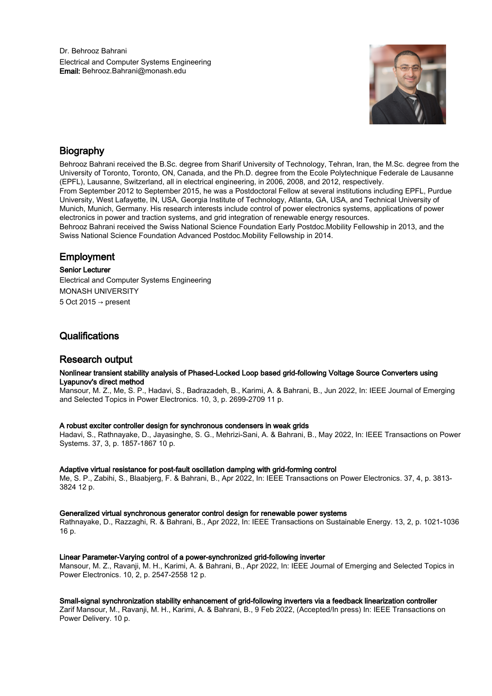

# **Biography**

Behrooz Bahrani received the B.Sc. degree from Sharif University of Technology, Tehran, Iran, the M.Sc. degree from the University of Toronto, Toronto, ON, Canada, and the Ph.D. degree from the Ecole Polytechnique Federale de Lausanne (EPFL), Lausanne, Switzerland, all in electrical engineering, in 2006, 2008, and 2012, respectively. From September 2012 to September 2015, he was a Postdoctoral Fellow at several institutions including EPFL, Purdue University, West Lafayette, IN, USA, Georgia Institute of Technology, Atlanta, GA, USA, and Technical University of

Munich, Munich, Germany. His research interests include control of power electronics systems, applications of power electronics in power and traction systems, and grid integration of renewable energy resources.

Behrooz Bahrani received the Swiss National Science Foundation Early Postdoc.Mobility Fellowship in 2013, and the Swiss National Science Foundation Advanced Postdoc.Mobility Fellowship in 2014.

## Employment

## Senior Lecturer

Electrical and Computer Systems Engineering MONASH UNIVERSITY 5 Oct 2015 → present

## **Qualifications**

# Research output

## Nonlinear transient stability analysis of Phased-Locked Loop based grid-following Voltage Source Converters using Lyapunov's direct method

Mansour, M. Z., Me, S. P., Hadavi, S., Badrazadeh, B., Karimi, A. & Bahrani, B., Jun 2022, In: IEEE Journal of Emerging and Selected Topics in Power Electronics. 10, 3, p. 2699-2709 11 p.

## A robust exciter controller design for synchronous condensers in weak grids

Hadavi, S., Rathnayake, D., Jayasinghe, S. G., Mehrizi-Sani, A. & Bahrani, B., May 2022, In: IEEE Transactions on Power Systems. 37, 3, p. 1857-1867 10 p.

## Adaptive virtual resistance for post-fault oscillation damping with grid-forming control

Me, S. P., Zabihi, S., Blaabjerg, F. & Bahrani, B., Apr 2022, In: IEEE Transactions on Power Electronics. 37, 4, p. 3813- 3824 12 p.

## Generalized virtual synchronous generator control design for renewable power systems

Rathnayake, D., Razzaghi, R. & Bahrani, B., Apr 2022, In: IEEE Transactions on Sustainable Energy. 13, 2, p. 1021-1036 16 p.

## Linear Parameter-Varying control of a power-synchronized grid-following inverter

Mansour, M. Z., Ravanji, M. H., Karimi, A. & Bahrani, B., Apr 2022, In: IEEE Journal of Emerging and Selected Topics in Power Electronics. 10, 2, p. 2547-2558 12 p.

## Small-signal synchronization stability enhancement of grid-following inverters via a feedback linearization controller

Zarif Mansour, M., Ravanji, M. H., Karimi, A. & Bahrani, B., 9 Feb 2022, (Accepted/In press) In: IEEE Transactions on Power Delivery. 10 p.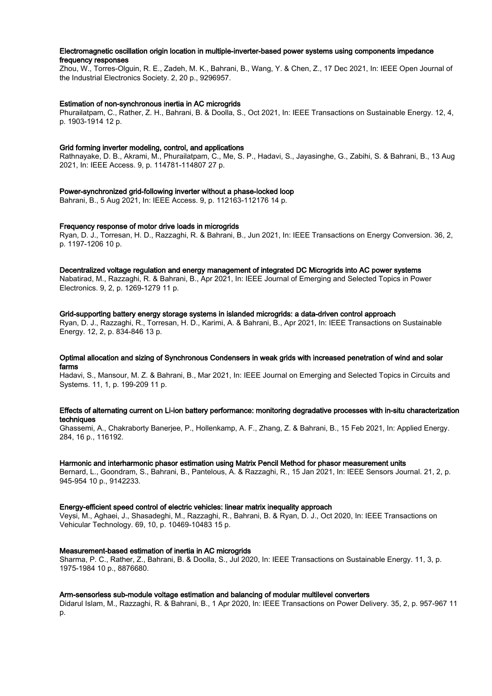## Electromagnetic oscillation origin location in multiple-inverter-based power systems using components impedance frequency responses

Zhou, W., Torres-Olguin, R. E., Zadeh, M. K., Bahrani, B., Wang, Y. & Chen, Z., 17 Dec 2021, In: IEEE Open Journal of the Industrial Electronics Society. 2, 20 p., 9296957.

### Estimation of non-synchronous inertia in AC microgrids

Phurailatpam, C., Rather, Z. H., Bahrani, B. & Doolla, S., Oct 2021, In: IEEE Transactions on Sustainable Energy. 12, 4, p. 1903-1914 12 p.

### Grid forming inverter modeling, control, and applications

Rathnayake, D. B., Akrami, M., Phurailatpam, C., Me, S. P., Hadavi, S., Jayasinghe, G., Zabihi, S. & Bahrani, B., 13 Aug 2021, In: IEEE Access. 9, p. 114781-114807 27 p.

### Power-synchronized grid-following inverter without a phase-locked loop

Bahrani, B., 5 Aug 2021, In: IEEE Access. 9, p. 112163-112176 14 p.

### Frequency response of motor drive loads in microgrids

Ryan, D. J., Torresan, H. D., Razzaghi, R. & Bahrani, B., Jun 2021, In: IEEE Transactions on Energy Conversion. 36, 2, p. 1197-1206 10 p.

### Decentralized voltage regulation and energy management of integrated DC Microgrids into AC power systems

Nabatirad, M., Razzaghi, R. & Bahrani, B., Apr 2021, In: IEEE Journal of Emerging and Selected Topics in Power Electronics. 9, 2, p. 1269-1279 11 p.

### Grid-supporting battery energy storage systems in islanded microgrids: a data-driven control approach

Ryan, D. J., Razzaghi, R., Torresan, H. D., Karimi, A. & Bahrani, B., Apr 2021, In: IEEE Transactions on Sustainable Energy. 12, 2, p. 834-846 13 p.

### Optimal allocation and sizing of Synchronous Condensers in weak grids with increased penetration of wind and solar farms

Hadavi, S., Mansour, M. Z. & Bahrani, B., Mar 2021, In: IEEE Journal on Emerging and Selected Topics in Circuits and Systems. 11, 1, p. 199-209 11 p.

## Effects of alternating current on Li-ion battery performance: monitoring degradative processes with in-situ characterization techniques

Ghassemi, A., Chakraborty Banerjee, P., Hollenkamp, A. F., Zhang, Z. & Bahrani, B., 15 Feb 2021, In: Applied Energy. 284, 16 p., 116192.

### Harmonic and interharmonic phasor estimation using Matrix Pencil Method for phasor measurement units

Bernard, L., Goondram, S., Bahrani, B., Pantelous, A. & Razzaghi, R., 15 Jan 2021, In: IEEE Sensors Journal. 21, 2, p. 945-954 10 p., 9142233.

### Energy-efficient speed control of electric vehicles: linear matrix inequality approach

Veysi, M., Aghaei, J., Shasadeghi, M., Razzaghi, R., Bahrani, B. & Ryan, D. J., Oct 2020, In: IEEE Transactions on Vehicular Technology. 69, 10, p. 10469-10483 15 p.

### Measurement-based estimation of inertia in AC microgrids

Sharma, P. C., Rather, Z., Bahrani, B. & Doolla, S., Jul 2020, In: IEEE Transactions on Sustainable Energy. 11, 3, p. 1975-1984 10 p., 8876680.

## Arm-sensorless sub-module voltage estimation and balancing of modular multilevel converters

Didarul Islam, M., Razzaghi, R. & Bahrani, B., 1 Apr 2020, In: IEEE Transactions on Power Delivery. 35, 2, p. 957-967 11 p.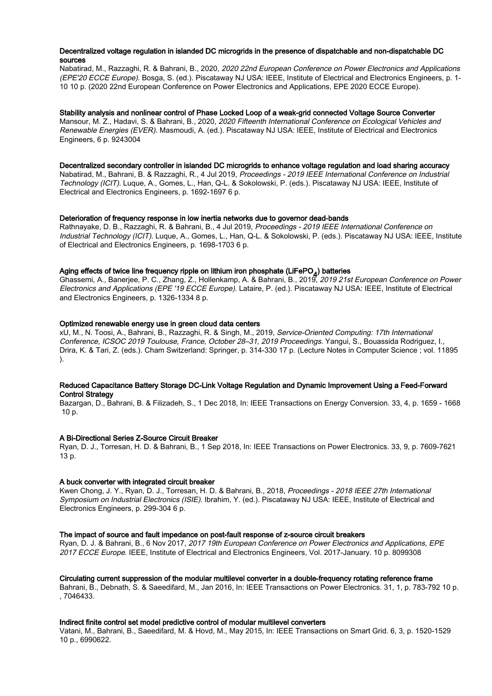## Decentralized voltage regulation in islanded DC microgrids in the presence of dispatchable and non-dispatchable DC sources

Nabatirad, M., Razzaghi, R. & Bahrani, B., 2020, 2020 22nd European Conference on Power Electronics and Applications (EPE'20 ECCE Europe). Bosga, S. (ed.). Piscataway NJ USA: IEEE, Institute of Electrical and Electronics Engineers, p. 1- 10 10 p. (2020 22nd European Conference on Power Electronics and Applications, EPE 2020 ECCE Europe).

## Stability analysis and nonlinear control of Phase Locked Loop of a weak-grid connected Voltage Source Converter

Mansour, M. Z., Hadavi, S. & Bahrani, B., 2020, 2020 Fifteenth International Conference on Ecological Vehicles and Renewable Energies (EVER). Masmoudi, A. (ed.). Piscataway NJ USA: IEEE, Institute of Electrical and Electronics Engineers, 6 p. 9243004

### Decentralized secondary controller in islanded DC microgrids to enhance voltage regulation and load sharing accuracy

Nabatirad, M., Bahrani, B. & Razzaghi, R., 4 Jul 2019, Proceedings - 2019 IEEE International Conference on Industrial Technology (ICIT). Luque, A., Gomes, L., Han, Q-L. & Sokolowski, P. (eds.). Piscataway NJ USA: IEEE, Institute of Electrical and Electronics Engineers, p. 1692-1697 6 p.

## Deterioration of frequency response in low inertia networks due to governor dead-bands

Rathnayake, D. B., Razzaghi, R. & Bahrani, B., 4 Jul 2019, Proceedings - 2019 IEEE International Conference on Industrial Technology (ICIT). Luque, A., Gomes, L., Han, Q-L. & Sokolowski, P. (eds.). Piscataway NJ USA: IEEE, Institute of Electrical and Electronics Engineers, p. 1698-1703 6 p.

# Aging effects of twice line frequency ripple on lithium iron phosphate (LiFePO<sub>4</sub>) batteries

Ghassemi, A., Banerjee, P. C., Zhang, Z., Hollenkamp, A. & Bahrani, B., 2019, 2019 21st European Conference on Power Electronics and Applications (EPE '19 ECCE Europe). Lataire, P. (ed.). Piscataway NJ USA: IEEE, Institute of Electrical and Electronics Engineers, p. 1326-1334 8 p.

## Optimized renewable energy use in green cloud data centers

xU, M., N. Toosi, A., Bahrani, B., Razzaghi, R. & Singh, M., 2019, Service-Oriented Computing: 17th International Conference, ICSOC 2019 Toulouse, France, October 28–31, 2019 Proceedings. Yangui, S., Bouassida Rodriguez, I., Drira, K. & Tari, Z. (eds.). Cham Switzerland: Springer, p. 314-330 17 p. (Lecture Notes in Computer Science ; vol. 11895 ).

## Reduced Capacitance Battery Storage DC-Link Voltage Regulation and Dynamic Improvement Using a Feed-Forward Control Strategy

Bazargan, D., Bahrani, B. & Filizadeh, S., 1 Dec 2018, In: IEEE Transactions on Energy Conversion. 33, 4, p. 1659 - 1668 10 p.

## A Bi-Directional Series Z-Source Circuit Breaker

Ryan, D. J., Torresan, H. D. & Bahrani, B., 1 Sep 2018, In: IEEE Transactions on Power Electronics. 33, 9, p. 7609-7621 13 p.

## A buck converter with integrated circuit breaker

Kwen Chong, J. Y., Ryan, D. J., Torresan, H. D. & Bahrani, B., 2018, Proceedings - 2018 IEEE 27th International Symposium on Industrial Electronics (ISIE). Ibrahim, Y. (ed.). Piscataway NJ USA: IEEE, Institute of Electrical and Electronics Engineers, p. 299-304 6 p.

## The impact of source and fault impedance on post-fault response of z-source circuit breakers

Ryan, D. J. & Bahrani, B., 6 Nov 2017, 2017 19th European Conference on Power Electronics and Applications, EPE 2017 ECCE Europe. IEEE, Institute of Electrical and Electronics Engineers, Vol. 2017-January. 10 p. 8099308

Circulating current suppression of the modular multilevel converter in a double-frequency rotating reference frame Bahrani, B., Debnath, S. & Saeedifard, M., Jan 2016, In: IEEE Transactions on Power Electronics. 31, 1, p. 783-792 10 p. , 7046433.

## Indirect finite control set model predictive control of modular multilevel converters

Vatani, M., Bahrani, B., Saeedifard, M. & Hovd, M., May 2015, In: IEEE Transactions on Smart Grid. 6, 3, p. 1520-1529 10 p., 6990622.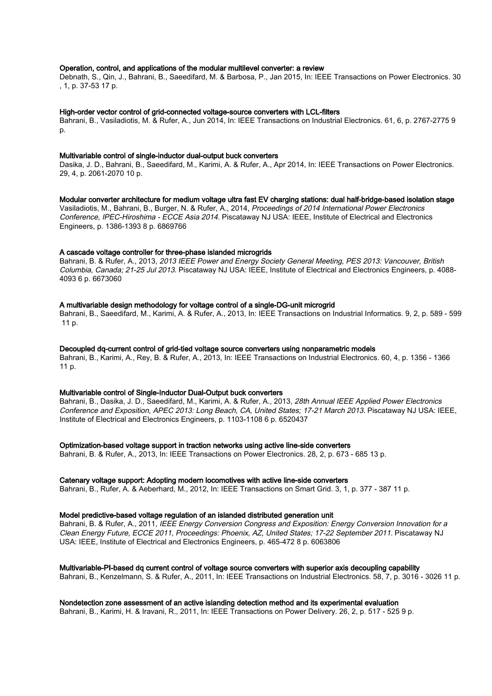### Operation, control, and applications of the modular multilevel converter: a review

Debnath, S., Qin, J., Bahrani, B., Saeedifard, M. & Barbosa, P., Jan 2015, In: IEEE Transactions on Power Electronics. 30 , 1, p. 37-53 17 p.

#### High-order vector control of grid-connected voltage-source converters with LCL-filters

Bahrani, B., Vasiladiotis, M. & Rufer, A., Jun 2014, In: IEEE Transactions on Industrial Electronics. 61, 6, p. 2767-2775 9 p.

### Multivariable control of single-inductor dual-output buck converters

Dasika, J. D., Bahrani, B., Saeedifard, M., Karimi, A. & Rufer, A., Apr 2014, In: IEEE Transactions on Power Electronics. 29, 4, p. 2061-2070 10 p.

### Modular converter architecture for medium voltage ultra fast EV charging stations: dual half-bridge-based isolation stage

Vasiladiotis, M., Bahrani, B., Burger, N. & Rufer, A., 2014, Proceedings of 2014 International Power Electronics Conference, IPEC-Hiroshima - ECCE Asia 2014. Piscataway NJ USA: IEEE, Institute of Electrical and Electronics Engineers, p. 1386-1393 8 p. 6869766

### A cascade voltage controller for three-phase islanded microgrids

Bahrani, B. & Rufer, A., 2013, 2013 IEEE Power and Energy Society General Meeting, PES 2013: Vancouver, British Columbia, Canada; 21-25 Jul 2013. Piscataway NJ USA: IEEE, Institute of Electrical and Electronics Engineers, p. 4088-4093 6 p. 6673060

### A multivariable design methodology for voltage control of a single-DG-unit microgrid

Bahrani, B., Saeedifard, M., Karimi, A. & Rufer, A., 2013, In: IEEE Transactions on Industrial Informatics. 9, 2, p. 589 - 599 11 p.

### Decoupled dq-current control of grid-tied voltage source converters using nonparametric models

Bahrani, B., Karimi, A., Rey, B. & Rufer, A., 2013, In: IEEE Transactions on Industrial Electronics. 60, 4, p. 1356 - 1366 11 p.

### Multivariable control of Single-Inductor Dual-Output buck converters

Bahrani, B., Dasika, J. D., Saeedifard, M., Karimi, A. & Rufer, A., 2013, 28th Annual IEEE Applied Power Electronics Conference and Exposition, APEC 2013: Long Beach, CA, United States; 17-21 March 2013. Piscataway NJ USA: IEEE, Institute of Electrical and Electronics Engineers, p. 1103-1108 6 p. 6520437

#### Optimization-based voltage support in traction networks using active line-side converters

Bahrani, B. & Rufer, A., 2013, In: IEEE Transactions on Power Electronics. 28, 2, p. 673 - 685 13 p.

### Catenary voltage support: Adopting modern locomotives with active line-side converters

Bahrani, B., Rufer, A. & Aeberhard, M., 2012, In: IEEE Transactions on Smart Grid. 3, 1, p. 377 - 387 11 p.

### Model predictive-based voltage regulation of an islanded distributed generation unit

Bahrani, B. & Rufer, A., 2011, IEEE Energy Conversion Congress and Exposition: Energy Conversion Innovation for a Clean Energy Future, ECCE 2011, Proceedings: Phoenix, AZ, United States; 17-22 September 2011. Piscataway NJ USA: IEEE, Institute of Electrical and Electronics Engineers, p. 465-472 8 p. 6063806

## Multivariable-PI-based dq current control of voltage source converters with superior axis decoupling capability

Bahrani, B., Kenzelmann, S. & Rufer, A., 2011, In: IEEE Transactions on Industrial Electronics. 58, 7, p. 3016 - 3026 11 p.

Nondetection zone assessment of an active islanding detection method and its experimental evaluation

Bahrani, B., Karimi, H. & Iravani, R., 2011, In: IEEE Transactions on Power Delivery. 26, 2, p. 517 - 525 9 p.